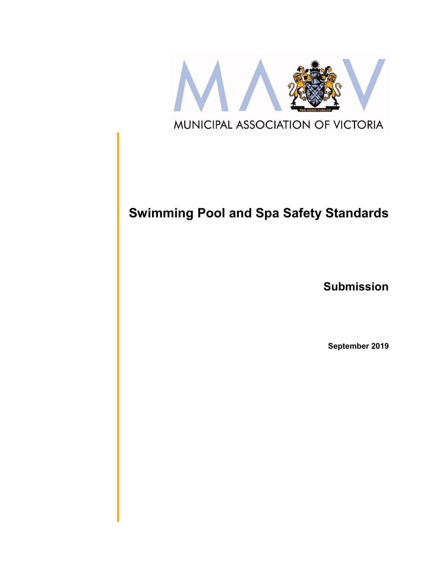

# **Swimming Pool and Spa Safety Standards**

**Submission**

**September 2019**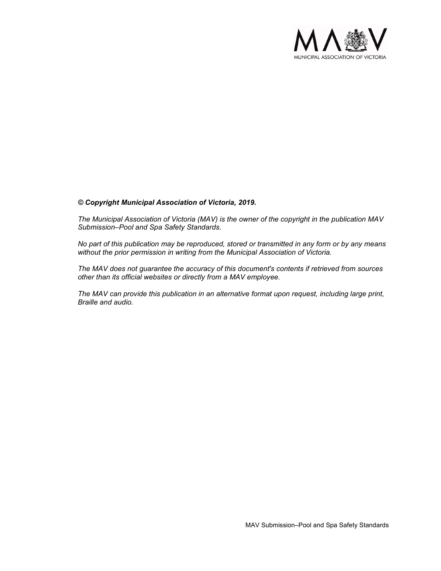

#### *© Copyright Municipal Association of Victoria, 2019.*

*The Municipal Association of Victoria (MAV) is the owner of the copyright in the publication MAV Submission–Pool and Spa Safety Standards.* 

*No part of this publication may be reproduced, stored or transmitted in any form or by any means without the prior permission in writing from the Municipal Association of Victoria.* 

*The MAV does not guarantee the accuracy of this document's contents if retrieved from sources other than its official websites or directly from a MAV employee.*

*The MAV can provide this publication in an alternative format upon request, including large print, Braille and audio.*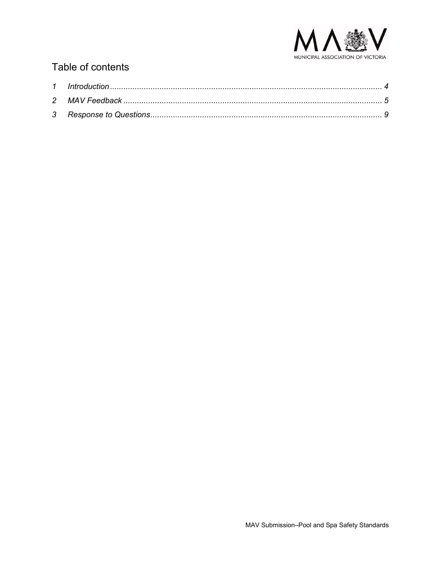

# Table of contents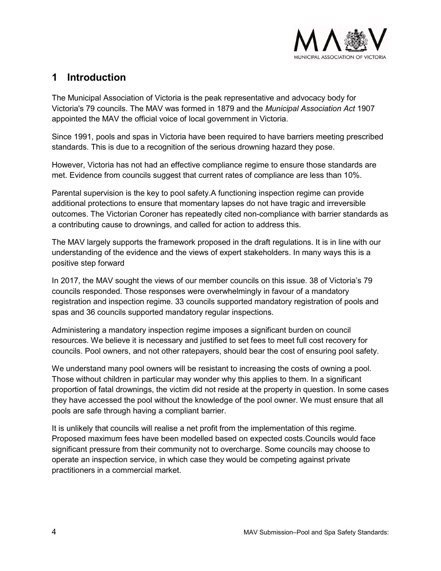

# <span id="page-3-1"></span><span id="page-3-0"></span>**1 Introduction**

The Municipal Association of Victoria is the peak representative and advocacy body for Victoria's 79 councils. The MAV was formed in 1879 and the *Municipal Association Act* 1907 appointed the MAV the official voice of local government in Victoria.

Since 1991, pools and spas in Victoria have been required to have barriers meeting prescribed standards. This is due to a recognition of the serious drowning hazard they pose.

However, Victoria has not had an effective compliance regime to ensure those standards are met. Evidence from councils suggest that current rates of compliance are less than 10%.

Parental supervision is the key to pool safety.A functioning inspection regime can provide additional protections to ensure that momentary lapses do not have tragic and irreversible outcomes. The Victorian Coroner has repeatedly cited non-compliance with barrier standards as a contributing cause to drownings, and called for action to address this.

The MAV largely supports the framework proposed in the draft regulations. It is in line with our understanding of the evidence and the views of expert stakeholders. In many ways this is a positive step forward

In 2017, the MAV sought the views of our member councils on this issue. 38 of Victoria's 79 councils responded. Those responses were overwhelmingly in favour of a mandatory registration and inspection regime. 33 councils supported mandatory registration of pools and spas and 36 councils supported mandatory regular inspections.

Administering a mandatory inspection regime imposes a significant burden on council resources. We believe it is necessary and justified to set fees to meet full cost recovery for councils. Pool owners, and not other ratepayers, should bear the cost of ensuring pool safety.

We understand many pool owners will be resistant to increasing the costs of owning a pool. Those without children in particular may wonder why this applies to them. In a significant proportion of fatal drownings, the victim did not reside at the property in question. In some cases they have accessed the pool without the knowledge of the pool owner. We must ensure that all pools are safe through having a compliant barrier.

It is unlikely that councils will realise a net profit from the implementation of this regime. Proposed maximum fees have been modelled based on expected costs.Councils would face significant pressure from their community not to overcharge. Some councils may choose to operate an inspection service, in which case they would be competing against private practitioners in a commercial market.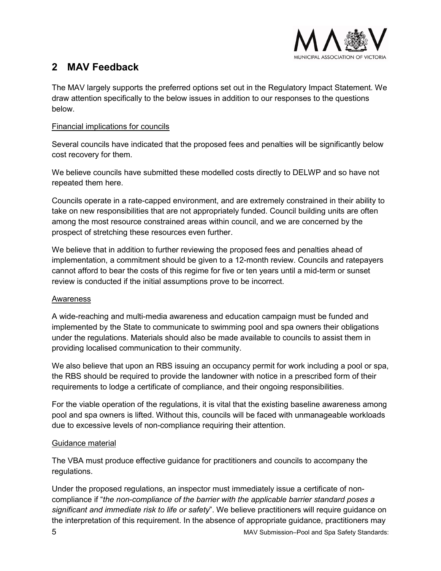

# **2 MAV Feedback**

The MAV largely supports the preferred options set out in the Regulatory Impact Statement. We draw attention specifically to the below issues in addition to our responses to the questions below.

# Financial implications for councils

Several councils have indicated that the proposed fees and penalties will be significantly below cost recovery for them.

We believe councils have submitted these modelled costs directly to DELWP and so have not repeated them here.

Councils operate in a rate-capped environment, and are extremely constrained in their ability to take on new responsibilities that are not appropriately funded. Council building units are often among the most resource constrained areas within council, and we are concerned by the prospect of stretching these resources even further.

We believe that in addition to further reviewing the proposed fees and penalties ahead of implementation, a commitment should be given to a 12-month review. Councils and ratepayers cannot afford to bear the costs of this regime for five or ten years until a mid-term or sunset review is conducted if the initial assumptions prove to be incorrect.

# Awareness

A wide-reaching and multi-media awareness and education campaign must be funded and implemented by the State to communicate to swimming pool and spa owners their obligations under the regulations. Materials should also be made available to councils to assist them in providing localised communication to their community.

We also believe that upon an RBS issuing an occupancy permit for work including a pool or spa, the RBS should be required to provide the landowner with notice in a prescribed form of their requirements to lodge a certificate of compliance, and their ongoing responsibilities.

For the viable operation of the regulations, it is vital that the existing baseline awareness among pool and spa owners is lifted. Without this, councils will be faced with unmanageable workloads due to excessive levels of non-compliance requiring their attention.

# Guidance material

The VBA must produce effective guidance for practitioners and councils to accompany the regulations.

Under the proposed regulations, an inspector must immediately issue a certificate of noncompliance if "*the non-compliance of the barrier with the applicable barrier standard poses a significant and immediate risk to life or safety*". We believe practitioners will require guidance on the interpretation of this requirement. In the absence of appropriate guidance, practitioners may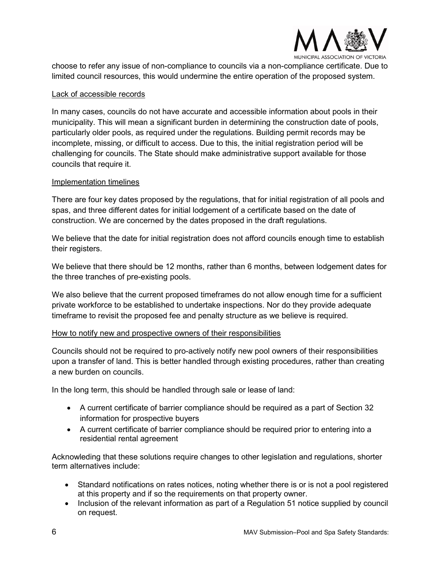

choose to refer any issue of non-compliance to councils via a non-compliance certificate. Due to limited council resources, this would undermine the entire operation of the proposed system.

### Lack of accessible records

In many cases, councils do not have accurate and accessible information about pools in their municipality. This will mean a significant burden in determining the construction date of pools, particularly older pools, as required under the regulations. Building permit records may be incomplete, missing, or difficult to access. Due to this, the initial registration period will be challenging for councils. The State should make administrative support available for those councils that require it.

### Implementation timelines

There are four key dates proposed by the regulations, that for initial registration of all pools and spas, and three different dates for initial lodgement of a certificate based on the date of construction. We are concerned by the dates proposed in the draft regulations.

We believe that the date for initial registration does not afford councils enough time to establish their registers.

We believe that there should be 12 months, rather than 6 months, between lodgement dates for the three tranches of pre-existing pools.

We also believe that the current proposed timeframes do not allow enough time for a sufficient private workforce to be established to undertake inspections. Nor do they provide adequate timeframe to revisit the proposed fee and penalty structure as we believe is required.

#### How to notify new and prospective owners of their responsibilities

Councils should not be required to pro-actively notify new pool owners of their responsibilities upon a transfer of land. This is better handled through existing procedures, rather than creating a new burden on councils.

In the long term, this should be handled through sale or lease of land:

- A current certificate of barrier compliance should be required as a part of Section 32 information for prospective buyers
- A current certificate of barrier compliance should be required prior to entering into a residential rental agreement

Acknowleding that these solutions require changes to other legislation and regulations, shorter term alternatives include:

- Standard notifications on rates notices, noting whether there is or is not a pool registered at this property and if so the requirements on that property owner.
- Inclusion of the relevant information as part of a Regulation 51 notice supplied by council on request.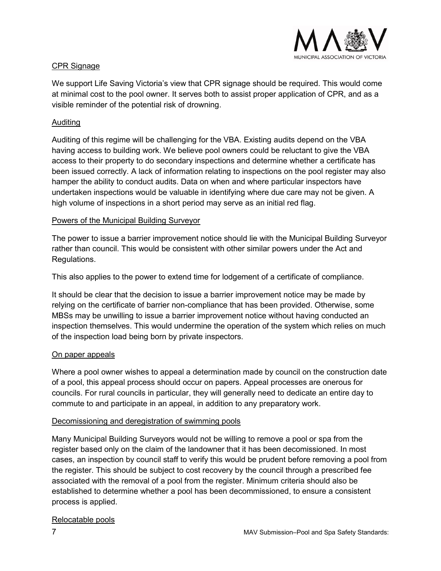

# CPR Signage

We support Life Saving Victoria's view that CPR signage should be required. This would come at minimal cost to the pool owner. It serves both to assist proper application of CPR, and as a visible reminder of the potential risk of drowning.

# Auditing

Auditing of this regime will be challenging for the VBA. Existing audits depend on the VBA having access to building work. We believe pool owners could be reluctant to give the VBA access to their property to do secondary inspections and determine whether a certificate has been issued correctly. A lack of information relating to inspections on the pool register may also hamper the ability to conduct audits. Data on when and where particular inspectors have undertaken inspections would be valuable in identifying where due care may not be given. A high volume of inspections in a short period may serve as an initial red flag.

# Powers of the Municipal Building Surveyor

The power to issue a barrier improvement notice should lie with the Municipal Building Surveyor rather than council. This would be consistent with other similar powers under the Act and Regulations.

This also applies to the power to extend time for lodgement of a certificate of compliance.

It should be clear that the decision to issue a barrier improvement notice may be made by relying on the certificate of barrier non-compliance that has been provided. Otherwise, some MBSs may be unwilling to issue a barrier improvement notice without having conducted an inspection themselves. This would undermine the operation of the system which relies on much of the inspection load being born by private inspectors.

# On paper appeals

Where a pool owner wishes to appeal a determination made by council on the construction date of a pool, this appeal process should occur on papers. Appeal processes are onerous for councils. For rural councils in particular, they will generally need to dedicate an entire day to commute to and participate in an appeal, in addition to any preparatory work.

# Decomissioning and deregistration of swimming pools

Many Municipal Building Surveyors would not be willing to remove a pool or spa from the register based only on the claim of the landowner that it has been decomissioned. In most cases, an inspection by council staff to verify this would be prudent before removing a pool from the register. This should be subject to cost recovery by the council through a prescribed fee associated with the removal of a pool from the register. Minimum criteria should also be established to determine whether a pool has been decommissioned, to ensure a consistent process is applied.

# Relocatable pools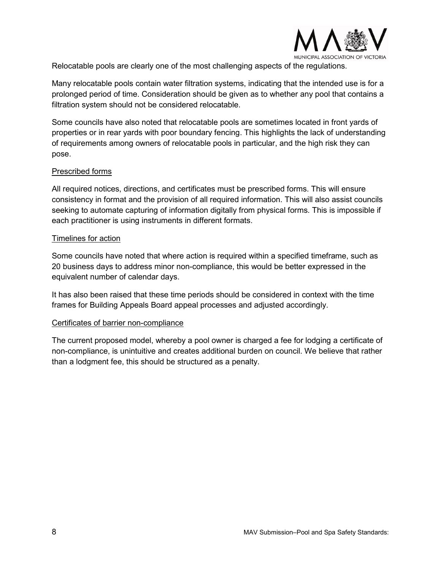

Relocatable pools are clearly one of the most challenging aspects of the regulations.

Many relocatable pools contain water filtration systems, indicating that the intended use is for a prolonged period of time. Consideration should be given as to whether any pool that contains a filtration system should not be considered relocatable.

Some councils have also noted that relocatable pools are sometimes located in front yards of properties or in rear yards with poor boundary fencing. This highlights the lack of understanding of requirements among owners of relocatable pools in particular, and the high risk they can pose.

### Prescribed forms

All required notices, directions, and certificates must be prescribed forms. This will ensure consistency in format and the provision of all required information. This will also assist councils seeking to automate capturing of information digitally from physical forms. This is impossible if each practitioner is using instruments in different formats.

#### Timelines for action

Some councils have noted that where action is required within a specified timeframe, such as 20 business days to address minor non-compliance, this would be better expressed in the equivalent number of calendar days.

It has also been raised that these time periods should be considered in context with the time frames for Building Appeals Board appeal processes and adjusted accordingly.

#### Certificates of barrier non-compliance

The current proposed model, whereby a pool owner is charged a fee for lodging a certificate of non-compliance, is unintuitive and creates additional burden on council. We believe that rather than a lodgment fee, this should be structured as a penalty.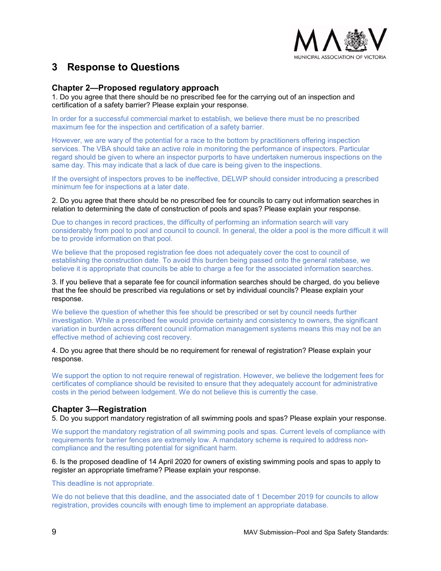

# <span id="page-8-0"></span>**3 Response to Questions**

### **Chapter 2—Proposed regulatory approach**

1. Do you agree that there should be no prescribed fee for the carrying out of an inspection and certification of a safety barrier? Please explain your response.

In order for a successful commercial market to establish, we believe there must be no prescribed maximum fee for the inspection and certification of a safety barrier.

However, we are wary of the potential for a race to the bottom by practitioners offering inspection services. The VBA should take an active role in monitoring the performance of inspectors. Particular regard should be given to where an inspector purports to have undertaken numerous inspections on the same day. This may indicate that a lack of due care is being given to the inspections.

If the oversight of inspectors proves to be ineffective, DELWP should consider introducing a prescribed minimum fee for inspections at a later date.

2. Do you agree that there should be no prescribed fee for councils to carry out information searches in relation to determining the date of construction of pools and spas? Please explain your response.

Due to changes in record practices, the difficulty of performing an information search will vary considerably from pool to pool and council to council. In general, the older a pool is the more difficult it will be to provide information on that pool.

We believe that the proposed registration fee does not adequately cover the cost to council of establishing the construction date. To avoid this burden being passed onto the general ratebase, we believe it is appropriate that councils be able to charge a fee for the associated information searches.

3. If you believe that a separate fee for council information searches should be charged, do you believe that the fee should be prescribed via regulations or set by individual councils? Please explain your response.

We believe the question of whether this fee should be prescribed or set by council needs further investigation. While a prescribed fee would provide certainty and consistency to owners, the significant variation in burden across different council information management systems means this may not be an effective method of achieving cost recovery.

4. Do you agree that there should be no requirement for renewal of registration? Please explain your response.

We support the option to not require renewal of registration. However, we believe the lodgement fees for certificates of compliance should be revisited to ensure that they adequately account for administrative costs in the period between lodgement. We do not believe this is currently the case.

# **Chapter 3—Registration**

5. Do you support mandatory registration of all swimming pools and spas? Please explain your response.

We support the mandatory registration of all swimming pools and spas. Current levels of compliance with requirements for barrier fences are extremely low. A mandatory scheme is required to address noncompliance and the resulting potential for significant harm.

6. Is the proposed deadline of 14 April 2020 for owners of existing swimming pools and spas to apply to register an appropriate timeframe? Please explain your response.

This deadline is not appropriate.

We do not believe that this deadline, and the associated date of 1 December 2019 for councils to allow registration, provides councils with enough time to implement an appropriate database.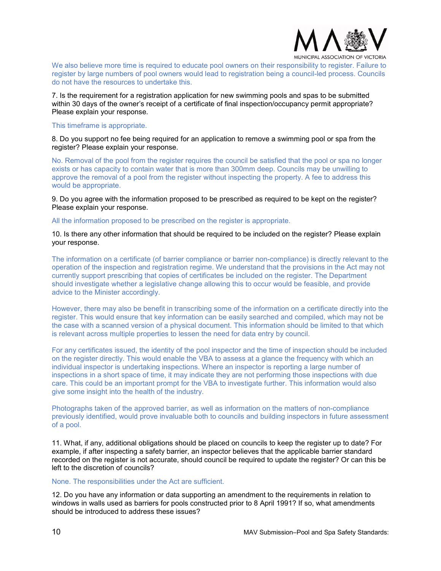

We also believe more time is required to educate pool owners on their responsibility to register. Failure to register by large numbers of pool owners would lead to registration being a council-led process. Councils do not have the resources to undertake this.

7. Is the requirement for a registration application for new swimming pools and spas to be submitted within 30 days of the owner's receipt of a certificate of final inspection/occupancy permit appropriate? Please explain your response.

#### This timeframe is appropriate.

8. Do you support no fee being required for an application to remove a swimming pool or spa from the register? Please explain your response.

No. Removal of the pool from the register requires the council be satisfied that the pool or spa no longer exists or has capacity to contain water that is more than 300mm deep. Councils may be unwilling to approve the removal of a pool from the register without inspecting the property. A fee to address this would be appropriate.

9. Do you agree with the information proposed to be prescribed as required to be kept on the register? Please explain your response.

#### All the information proposed to be prescribed on the register is appropriate.

10. Is there any other information that should be required to be included on the register? Please explain your response.

The information on a certificate (of barrier compliance or barrier non-compliance) is directly relevant to the operation of the inspection and registration regime. We understand that the provisions in the Act may not currently support prescribing that copies of certificates be included on the register. The Department should investigate whether a legislative change allowing this to occur would be feasible, and provide advice to the Minister accordingly.

However, there may also be benefit in transcribing some of the information on a certificate directly into the register. This would ensure that key information can be easily searched and compiled, which may not be the case with a scanned version of a physical document. This information should be limited to that which is relevant across multiple properties to lessen the need for data entry by council.

For any certificates issued, the identity of the pool inspector and the time of inspection should be included on the register directly. This would enable the VBA to assess at a glance the frequency with which an individual inspector is undertaking inspections. Where an inspector is reporting a large number of inspections in a short space of time, it may indicate they are not performing those inspections with due care. This could be an important prompt for the VBA to investigate further. This information would also give some insight into the health of the industry.

Photographs taken of the approved barrier, as well as information on the matters of non-compliance previously identified, would prove invaluable both to councils and building inspectors in future assessment of a pool.

11. What, if any, additional obligations should be placed on councils to keep the register up to date? For example, if after inspecting a safety barrier, an inspector believes that the applicable barrier standard recorded on the register is not accurate, should council be required to update the register? Or can this be left to the discretion of councils?

#### None. The responsibilities under the Act are sufficient.

12. Do you have any information or data supporting an amendment to the requirements in relation to windows in walls used as barriers for pools constructed prior to 8 April 1991? If so, what amendments should be introduced to address these issues?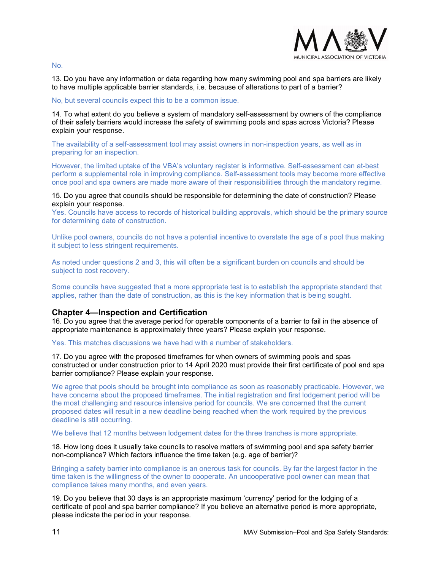

No.

13. Do you have any information or data regarding how many swimming pool and spa barriers are likely to have multiple applicable barrier standards, i.e. because of alterations to part of a barrier?

#### No, but several councils expect this to be a common issue.

14. To what extent do you believe a system of mandatory self-assessment by owners of the compliance of their safety barriers would increase the safety of swimming pools and spas across Victoria? Please explain your response.

The availability of a self-assessment tool may assist owners in non-inspection years, as well as in preparing for an inspection.

However, the limited uptake of the VBA's voluntary register is informative. Self-assessment can at-best perform a supplemental role in improving compliance. Self-assessment tools may become more effective once pool and spa owners are made more aware of their responsibilities through the mandatory regime.

15. Do you agree that councils should be responsible for determining the date of construction? Please explain your response.

Yes. Councils have access to records of historical building approvals, which should be the primary source for determining date of construction.

Unlike pool owners, councils do not have a potential incentive to overstate the age of a pool thus making it subject to less stringent requirements.

As noted under questions 2 and 3, this will often be a significant burden on councils and should be subject to cost recovery.

Some councils have suggested that a more appropriate test is to establish the appropriate standard that applies, rather than the date of construction, as this is the key information that is being sought.

#### **Chapter 4—Inspection and Certification**

16. Do you agree that the average period for operable components of a barrier to fail in the absence of appropriate maintenance is approximately three years? Please explain your response.

Yes. This matches discussions we have had with a number of stakeholders.

17. Do you agree with the proposed timeframes for when owners of swimming pools and spas constructed or under construction prior to 14 April 2020 must provide their first certificate of pool and spa barrier compliance? Please explain your response.

We agree that pools should be brought into compliance as soon as reasonably practicable. However, we have concerns about the proposed timeframes. The initial registration and first lodgement period will be the most challenging and resource intensive period for councils. We are concerned that the current proposed dates will result in a new deadline being reached when the work required by the previous deadline is still occurring.

We believe that 12 months between lodgement dates for the three tranches is more appropriate.

18. How long does it usually take councils to resolve matters of swimming pool and spa safety barrier non-compliance? Which factors influence the time taken (e.g. age of barrier)?

Bringing a safety barrier into compliance is an onerous task for councils. By far the largest factor in the time taken is the willingness of the owner to cooperate. An uncooperative pool owner can mean that compliance takes many months, and even years.

19. Do you believe that 30 days is an appropriate maximum 'currency' period for the lodging of a certificate of pool and spa barrier compliance? If you believe an alternative period is more appropriate, please indicate the period in your response.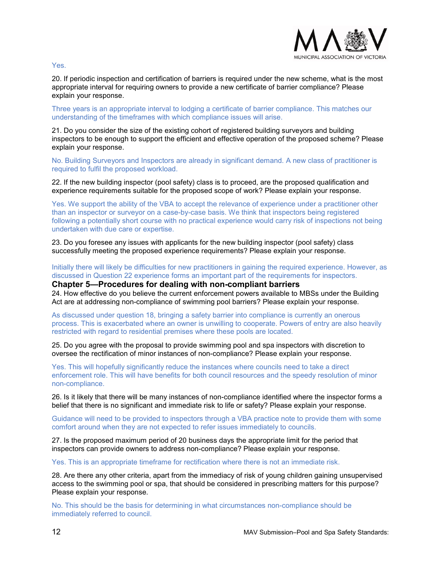

Yes.

20. If periodic inspection and certification of barriers is required under the new scheme, what is the most appropriate interval for requiring owners to provide a new certificate of barrier compliance? Please explain your response.

Three years is an appropriate interval to lodging a certificate of barrier compliance. This matches our understanding of the timeframes with which compliance issues will arise.

21. Do you consider the size of the existing cohort of registered building surveyors and building inspectors to be enough to support the efficient and effective operation of the proposed scheme? Please explain your response.

No. Building Surveyors and Inspectors are already in significant demand. A new class of practitioner is required to fulfil the proposed workload.

22. If the new building inspector (pool safety) class is to proceed, are the proposed qualification and experience requirements suitable for the proposed scope of work? Please explain your response.

Yes. We support the ability of the VBA to accept the relevance of experience under a practitioner other than an inspector or surveyor on a case-by-case basis. We think that inspectors being registered following a potentially short course with no practical experience would carry risk of inspections not being undertaken with due care or expertise.

23. Do you foresee any issues with applicants for the new building inspector (pool safety) class successfully meeting the proposed experience requirements? Please explain your response.

Initially there will likely be difficulties for new practitioners in gaining the required experience. However, as discussed in Question 22 experience forms an important part of the requirements for inspectors.

**Chapter 5—Procedures for dealing with non-compliant barriers**  24. How effective do you believe the current enforcement powers available to MBSs under the Building Act are at addressing non-compliance of swimming pool barriers? Please explain your response.

As discussed under question 18, bringing a safety barrier into compliance is currently an onerous process. This is exacerbated where an owner is unwilling to cooperate. Powers of entry are also heavily restricted with regard to residential premises where these pools are located.

25. Do you agree with the proposal to provide swimming pool and spa inspectors with discretion to oversee the rectification of minor instances of non-compliance? Please explain your response.

Yes. This will hopefully significantly reduce the instances where councils need to take a direct enforcement role. This will have benefits for both council resources and the speedy resolution of minor non-compliance.

26. Is it likely that there will be many instances of non-compliance identified where the inspector forms a belief that there is no significant and immediate risk to life or safety? Please explain your response.

Guidance will need to be provided to inspectors through a VBA practice note to provide them with some comfort around when they are not expected to refer issues immediately to councils.

27. Is the proposed maximum period of 20 business days the appropriate limit for the period that inspectors can provide owners to address non-compliance? Please explain your response.

Yes. This is an appropriate timeframe for rectification where there is not an immediate risk.

28. Are there any other criteria, apart from the immediacy of risk of young children gaining unsupervised access to the swimming pool or spa, that should be considered in prescribing matters for this purpose? Please explain your response.

No. This should be the basis for determining in what circumstances non-compliance should be immediately referred to council.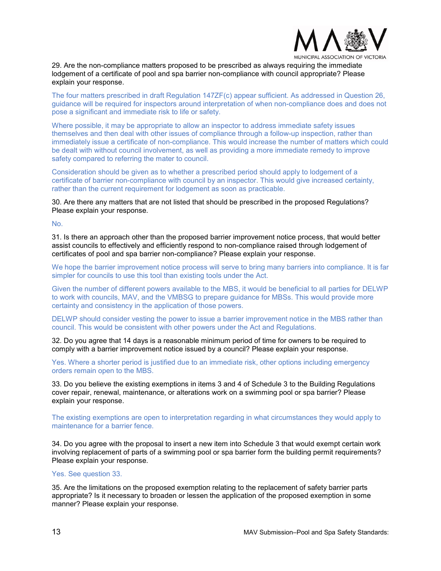

29. Are the non-compliance matters proposed to be prescribed as always requiring the immediate lodgement of a certificate of pool and spa barrier non-compliance with council appropriate? Please explain your response.

The four matters prescribed in draft Regulation 147ZF(c) appear sufficient. As addressed in Question 26, guidance will be required for inspectors around interpretation of when non-compliance does and does not pose a significant and immediate risk to life or safety.

Where possible, it may be appropriate to allow an inspector to address immediate safety issues themselves and then deal with other issues of compliance through a follow-up inspection, rather than immediately issue a certificate of non-compliance. This would increase the number of matters which could be dealt with without council involvement, as well as providing a more immediate remedy to improve safety compared to referring the mater to council.

Consideration should be given as to whether a prescribed period should apply to lodgement of a certificate of barrier non-compliance with council by an inspector. This would give increased certainty, rather than the current requirement for lodgement as soon as practicable.

30. Are there any matters that are not listed that should be prescribed in the proposed Regulations? Please explain your response.

No.

31. Is there an approach other than the proposed barrier improvement notice process, that would better assist councils to effectively and efficiently respond to non-compliance raised through lodgement of certificates of pool and spa barrier non-compliance? Please explain your response.

We hope the barrier improvement notice process will serve to bring many barriers into compliance. It is far simpler for councils to use this tool than existing tools under the Act.

Given the number of different powers available to the MBS, it would be beneficial to all parties for DELWP to work with councils, MAV, and the VMBSG to prepare guidance for MBSs. This would provide more certainty and consistency in the application of those powers.

DELWP should consider vesting the power to issue a barrier improvement notice in the MBS rather than council. This would be consistent with other powers under the Act and Regulations.

32. Do you agree that 14 days is a reasonable minimum period of time for owners to be required to comply with a barrier improvement notice issued by a council? Please explain your response.

Yes. Where a shorter period is justified due to an immediate risk, other options including emergency orders remain open to the MBS.

33. Do you believe the existing exemptions in items 3 and 4 of Schedule 3 to the Building Regulations cover repair, renewal, maintenance, or alterations work on a swimming pool or spa barrier? Please explain your response.

The existing exemptions are open to interpretation regarding in what circumstances they would apply to maintenance for a barrier fence.

34. Do you agree with the proposal to insert a new item into Schedule 3 that would exempt certain work involving replacement of parts of a swimming pool or spa barrier form the building permit requirements? Please explain your response.

#### Yes. See question 33.

35. Are the limitations on the proposed exemption relating to the replacement of safety barrier parts appropriate? Is it necessary to broaden or lessen the application of the proposed exemption in some manner? Please explain your response.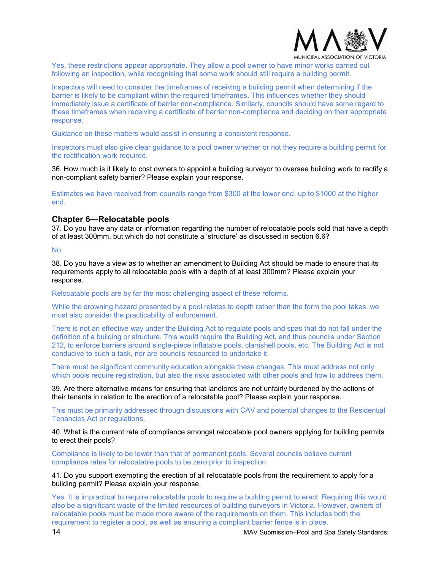

PAL ASSOCIATION OF VICTORIA

Yes, these restrictions appear appropriate. They allow a pool owner to have minor works carried out following an inspection, while recognising that some work should still require a building permit.

Inspectors will need to consider the timeframes of receiving a building permit when determining if the barrier is likely to be compliant within the required timeframes. This influences whether they should immediately issue a certificate of barrier non-compliance. Similarly, councils should have some regard to these timeframes when receiving a certificate of barrier non-compliance and deciding on their appropriate response.

Guidance on these matters would assist in ensuring a consistent response.

Inspectors must also give clear guidance to a pool owner whether or not they require a building permit for the rectification work required.

36. How much is it likely to cost owners to appoint a building surveyor to oversee building work to rectify a non-compliant safety barrier? Please explain your response.

Estimates we have received from councils range from \$300 at the lower end, up to \$1000 at the higher end.

#### **Chapter 6—Relocatable pools**

37. Do you have any data or information regarding the number of relocatable pools sold that have a depth of at least 300mm, but which do not constitute a 'structure' as discussed in section 6.6?

No.

38. Do you have a view as to whether an amendment to Building Act should be made to ensure that its requirements apply to all relocatable pools with a depth of at least 300mm? Please explain your response.

Relocatable pools are by far the most challenging aspect of these reforms.

While the drowning hazard presented by a pool relates to depth rather than the form the pool takes, we must also consider the practicability of enforcement.

There is not an effective way under the Building Act to regulate pools and spas that do not fall under the definition of a building or structure. This would require the Building Act, and thus councils under Section 212, to enforce barriers around single-piece inflatable pools, clamshell pools, etc. The Building Act is not conducive to such a task, nor are councils resourced to undertake it.

There must be significant community education alongside these changes. This must address not only which pools require registration, but also the risks associated with other pools and how to address them.

39. Are there alternative means for ensuring that landlords are not unfairly burdened by the actions of their tenants in relation to the erection of a relocatable pool? Please explain your response.

This must be primarily addressed through discussions with CAV and potential changes to the Residential Tenancies Act or regulations.

40. What is the current rate of compliance amongst relocatable pool owners applying for building permits to erect their pools?

Compliance is likely to be lower than that of permanent pools. Several councils believe current compliance rates for relocatable pools to be zero prior to inspection.

41. Do you support exempting the erection of all relocatable pools from the requirement to apply for a building permit? Please explain your response.

Yes. It is impractical to require relocatable pools to require a building permit to erect. Requiring this would also be a significant waste of the limited resources of building surveyors in Victoria. However, owners of relocatable pools must be made more aware of the requirements on them. This includes both the requirement to register a pool, as well as ensuring a compliant barrier fence is in place.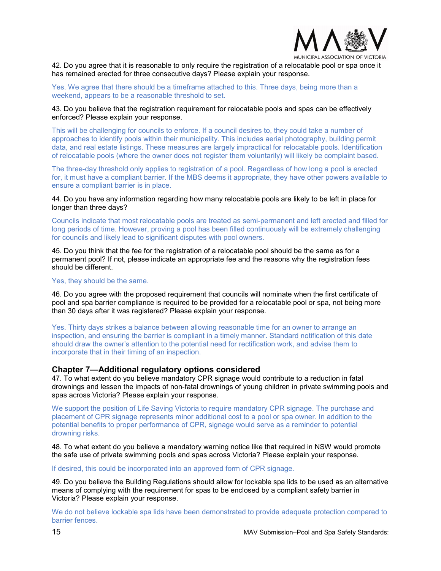

42. Do you agree that it is reasonable to only require the registration of a relocatable pool or spa once it has remained erected for three consecutive days? Please explain your response.

Yes. We agree that there should be a timeframe attached to this. Three days, being more than a weekend, appears to be a reasonable threshold to set.

#### 43. Do you believe that the registration requirement for relocatable pools and spas can be effectively enforced? Please explain your response.

This will be challenging for councils to enforce. If a council desires to, they could take a number of approaches to identify pools within their municipality. This includes aerial photography, building permit data, and real estate listings. These measures are largely impractical for relocatable pools. Identification of relocatable pools (where the owner does not register them voluntarily) will likely be complaint based.

The three-day threshold only applies to registration of a pool. Regardless of how long a pool is erected for, it must have a compliant barrier. If the MBS deems it appropriate, they have other powers available to ensure a compliant barrier is in place.

44. Do you have any information regarding how many relocatable pools are likely to be left in place for longer than three days?

Councils indicate that most relocatable pools are treated as semi-permanent and left erected and filled for long periods of time. However, proving a pool has been filled continuously will be extremely challenging for councils and likely lead to significant disputes with pool owners.

45. Do you think that the fee for the registration of a relocatable pool should be the same as for a permanent pool? If not, please indicate an appropriate fee and the reasons why the registration fees should be different.

#### Yes, they should be the same.

46. Do you agree with the proposed requirement that councils will nominate when the first certificate of pool and spa barrier compliance is required to be provided for a relocatable pool or spa, not being more than 30 days after it was registered? Please explain your response.

Yes. Thirty days strikes a balance between allowing reasonable time for an owner to arrange an inspection, and ensuring the barrier is compliant in a timely manner. Standard notification of this date should draw the owner's attention to the potential need for rectification work, and advise them to incorporate that in their timing of an inspection.

#### **Chapter 7—Additional regulatory options considered**

47. To what extent do you believe mandatory CPR signage would contribute to a reduction in fatal drownings and lessen the impacts of non-fatal drownings of young children in private swimming pools and spas across Victoria? Please explain your response.

We support the position of Life Saving Victoria to require mandatory CPR signage. The purchase and placement of CPR signage represents minor additional cost to a pool or spa owner. In addition to the potential benefits to proper performance of CPR, signage would serve as a reminder to potential drowning risks.

48. To what extent do you believe a mandatory warning notice like that required in NSW would promote the safe use of private swimming pools and spas across Victoria? Please explain your response.

If desired, this could be incorporated into an approved form of CPR signage.

49. Do you believe the Building Regulations should allow for lockable spa lids to be used as an alternative means of complying with the requirement for spas to be enclosed by a compliant safety barrier in Victoria? Please explain your response.

We do not believe lockable spa lids have been demonstrated to provide adequate protection compared to barrier fences.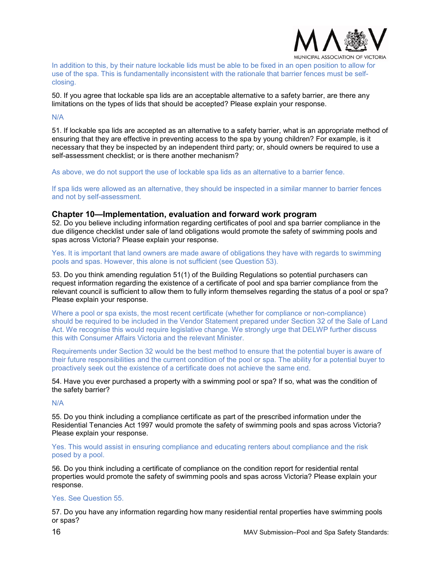

In addition to this, by their nature lockable lids must be able to be fixed in an open position to allow for use of the spa. This is fundamentally inconsistent with the rationale that barrier fences must be selfclosing.

50. If you agree that lockable spa lids are an acceptable alternative to a safety barrier, are there any limitations on the types of lids that should be accepted? Please explain your response.

N/A

51. If lockable spa lids are accepted as an alternative to a safety barrier, what is an appropriate method of ensuring that they are effective in preventing access to the spa by young children? For example, is it necessary that they be inspected by an independent third party; or, should owners be required to use a self-assessment checklist; or is there another mechanism?

As above, we do not support the use of lockable spa lids as an alternative to a barrier fence.

If spa lids were allowed as an alternative, they should be inspected in a similar manner to barrier fences and not by self-assessment.

#### **Chapter 10—Implementation, evaluation and forward work program**

52. Do you believe including information regarding certificates of pool and spa barrier compliance in the due diligence checklist under sale of land obligations would promote the safety of swimming pools and spas across Victoria? Please explain your response.

Yes. It is important that land owners are made aware of obligations they have with regards to swimming pools and spas. However, this alone is not sufficient (see Question 53).

53. Do you think amending regulation 51(1) of the Building Regulations so potential purchasers can request information regarding the existence of a certificate of pool and spa barrier compliance from the relevant council is sufficient to allow them to fully inform themselves regarding the status of a pool or spa? Please explain your response.

Where a pool or spa exists, the most recent certificate (whether for compliance or non-compliance) should be required to be included in the Vendor Statement prepared under Section 32 of the Sale of Land Act. We recognise this would require legislative change. We strongly urge that DELWP further discuss this with Consumer Affairs Victoria and the relevant Minister.

Requirements under Section 32 would be the best method to ensure that the potential buyer is aware of their future responsibilities and the current condition of the pool or spa. The ability for a potential buyer to proactively seek out the existence of a certificate does not achieve the same end.

54. Have you ever purchased a property with a swimming pool or spa? If so, what was the condition of the safety barrier?

N/A

55. Do you think including a compliance certificate as part of the prescribed information under the Residential Tenancies Act 1997 would promote the safety of swimming pools and spas across Victoria? Please explain your response.

Yes. This would assist in ensuring compliance and educating renters about compliance and the risk posed by a pool.

56. Do you think including a certificate of compliance on the condition report for residential rental properties would promote the safety of swimming pools and spas across Victoria? Please explain your response.

#### Yes. See Question 55.

57. Do you have any information regarding how many residential rental properties have swimming pools or spas?